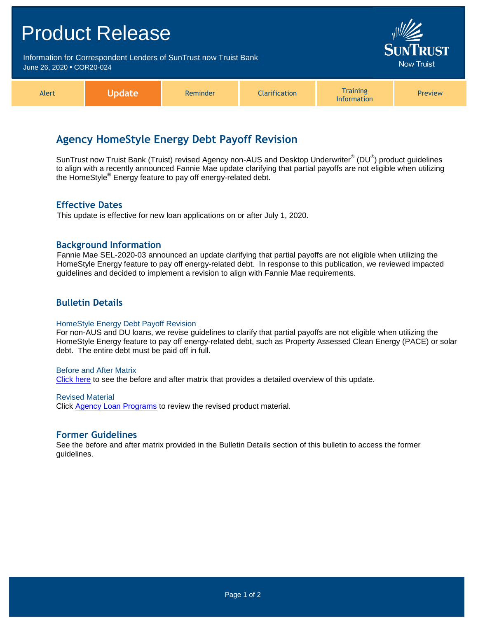| <b>Product Release</b>                                                                         |               |          |               |                                       |                                      |  |
|------------------------------------------------------------------------------------------------|---------------|----------|---------------|---------------------------------------|--------------------------------------|--|
| Information for Correspondent Lenders of SunTrust now Truist Bank<br>June 26, 2020 . COR20-024 |               |          |               |                                       | <b>SUNTRUST</b><br><b>Now Truist</b> |  |
| Alert                                                                                          | <b>Update</b> | Reminder | Clarification | <b>Training</b><br><b>Information</b> | Preview                              |  |

# **Agency HomeStyle Energy Debt Payoff Revision**

SunTrust now Truist Bank (Truist) revised Agency non-AUS and Desktop Underwriter® (DU®) product guidelines to align with a recently announced Fannie Mae update clarifying that partial payoffs are not eligible when utilizing the HomeStyle® Energy feature to pay off energy-related debt.

## **Effective Dates**

This update is effective for new loan applications on or after July 1, 2020.

## **Background Information**

Fannie Mae SEL-2020-03 announced an update clarifying that partial payoffs are not eligible when utilizing the HomeStyle Energy feature to pay off energy-related debt. In response to this publication, we reviewed impacted guidelines and decided to implement a revision to align with Fannie Mae requirements.

## **Bulletin Details**

#### HomeStyle Energy Debt Payoff Revision

For non-AUS and DU loans, we revise guidelines to clarify that partial payoffs are not eligible when utilizing the HomeStyle Energy feature to pay off energy-related debt, such as Property Assessed Clean Energy (PACE) or solar debt. The entire debt must be paid off in full.

#### Before and After Matrix

[Click here](http://www.truistsellerguide.com/manual/cor/products/Cr20-024BA.pdf) to see the before and after matrix that provides a detailed overview of this update.

#### Revised Material

Click [Agency Loan Programs](https://www.truistsellerguide.com/manual/cor/products/CAgency.pdf) to review the revised product material.

## **Former Guidelines**

See the before and after matrix provided in the Bulletin Details section of this bulletin to access the former guidelines.